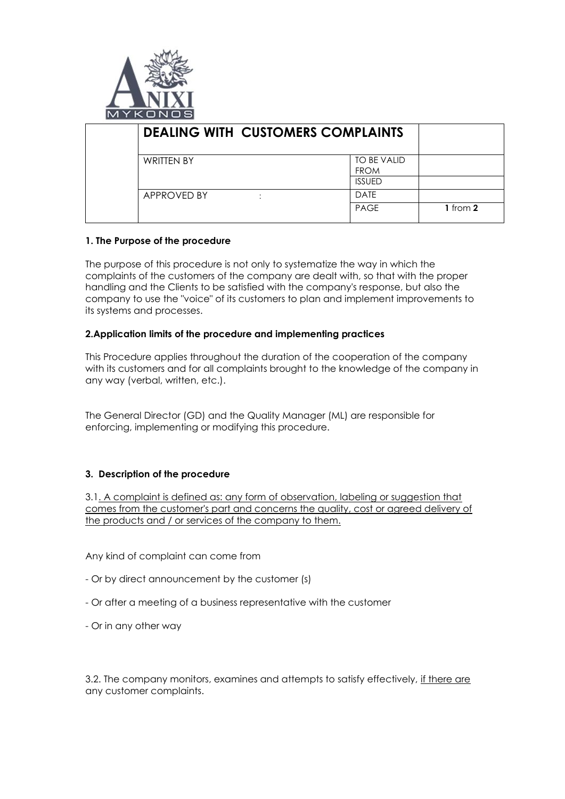

| <b>DEALING WITH CUSTOMERS COMPLAINTS</b> |                                             |  |
|------------------------------------------|---------------------------------------------|--|
| <b>WRITTEN BY</b>                        | TO BE VALID<br><b>FROM</b><br><b>ISSUED</b> |  |
| APPROVED BY<br>٠                         | <b>DATE</b><br><b>PAGE</b><br>1 from $2$    |  |

## **1. The Purpose of the procedure**

The purpose of this procedure is not only to systematize the way in which the complaints of the customers of the company are dealt with, so that with the proper handling and the Clients to be satisfied with the company's response, but also the company to use the "voice" of its customers to plan and implement improvements to its systems and processes.

## **2.Application limits of the procedure and implementing practices**

This Procedure applies throughout the duration of the cooperation of the company with its customers and for all complaints brought to the knowledge of the company in any way (verbal, written, etc.).

The General Director (GD) and the Quality Manager (ML) are responsible for enforcing, implementing or modifying this procedure.

## **3. Description of the procedure**

3.1. A complaint is defined as: any form of observation, labeling or suggestion that comes from the customer's part and concerns the quality, cost or agreed delivery of the products and / or services of the company to them.

Any kind of complaint can come from

- Or by direct announcement by the customer (s)
- Or after a meeting of a business representative with the customer
- Or in any other way

3.2. The company monitors, examines and attempts to satisfy effectively, if there are any customer complaints.